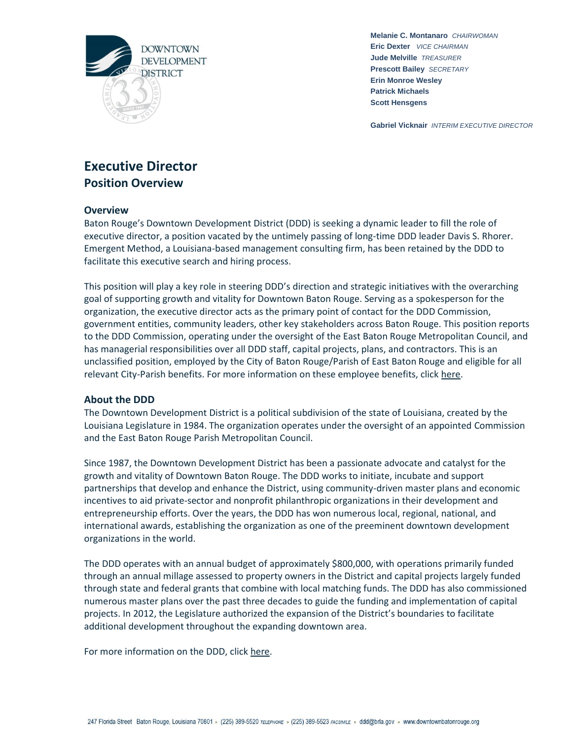

**Gabriel Vicknair** *INTERIM EXECUTIVE DIRECTOR*

# **Executive Director Position Overview**

## **Overview**

Baton Rouge's Downtown Development District (DDD) is seeking a dynamic leader to fill the role of executive director, a position vacated by the untimely passing of long-time DDD leader Davis S. Rhorer. Emergent Method, a Louisiana-based management consulting firm, has been retained by the DDD to facilitate this executive search and hiring process.

This position will play a key role in steering DDD's direction and strategic initiatives with the overarching goal of supporting growth and vitality for Downtown Baton Rouge. Serving as a spokesperson for the organization, the executive director acts as the primary point of contact for the DDD Commission, government entities, community leaders, other key stakeholders across Baton Rouge. This position reports to the DDD Commission, operating under the oversight of the East Baton Rouge Metropolitan Council, and has managerial responsibilities over all DDD staff, capital projects, plans, and contractors. This is an unclassified position, employed by the City of Baton Rouge/Parish of East Baton Rouge and eligible for all relevant City-Parish benefits. For more information on these employee benefits, click [here.](https://www.brla.gov/254/Check-Out-Our-Employee-Benefits)

### **About the DDD**

The Downtown Development District is a political subdivision of the state of Louisiana, created by the Louisiana Legislature in 1984. The organization operates under the oversight of an appointed Commission and the East Baton Rouge Parish Metropolitan Council.

Since 1987, the Downtown Development District has been a passionate advocate and catalyst for the growth and vitality of Downtown Baton Rouge. The DDD works to initiate, incubate and support partnerships that develop and enhance the District, using community-driven master plans and economic incentives to aid private-sector and nonprofit philanthropic organizations in their development and entrepreneurship efforts. Over the years, the DDD has won numerous local, regional, national, and international awards, establishing the organization as one of the preeminent downtown development organizations in the world.

The DDD operates with an annual budget of approximately \$800,000, with operations primarily funded through an annual millage assessed to property owners in the District and capital projects largely funded through state and federal grants that combine with local matching funds. The DDD has also commissioned numerous master plans over the past three decades to guide the funding and implementation of capital projects. In 2012, the Legislature authorized the expansion of the District's boundaries to facilitate additional development throughout the expanding downtown area.

For more information on the DDD, click [here.](https://downtownbatonrouge.org/about-ddd)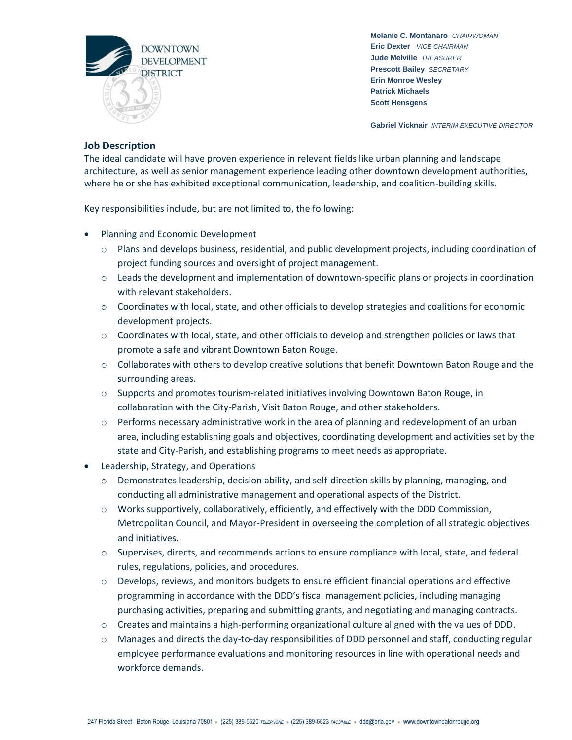

**Gabriel Vicknair** *INTERIM EXECUTIVE DIRECTOR*

## **Job Description**

The ideal candidate will have proven experience in relevant fields like urban planning and landscape architecture, as well as senior management experience leading other downtown development authorities, where he or she has exhibited exceptional communication, leadership, and coalition-building skills.

Key responsibilities include, but are not limited to, the following:

- Planning and Economic Development
	- $\circ$  Plans and develops business, residential, and public development projects, including coordination of project funding sources and oversight of project management.
	- o Leads the development and implementation of downtown-specific plans or projects in coordination with relevant stakeholders.
	- o Coordinates with local, state, and other officials to develop strategies and coalitions for economic development projects.
	- $\circ$  Coordinates with local, state, and other officials to develop and strengthen policies or laws that promote a safe and vibrant Downtown Baton Rouge.
	- o Collaborates with others to develop creative solutions that benefit Downtown Baton Rouge and the surrounding areas.
	- $\circ$  Supports and promotes tourism-related initiatives involving Downtown Baton Rouge, in collaboration with the City-Parish, Visit Baton Rouge, and other stakeholders.
	- $\circ$  Performs necessary administrative work in the area of planning and redevelopment of an urban area, including establishing goals and objectives, coordinating development and activities set by the state and City-Parish, and establishing programs to meet needs as appropriate.
- Leadership, Strategy, and Operations
	- $\circ$  Demonstrates leadership, decision ability, and self-direction skills by planning, managing, and conducting all administrative management and operational aspects of the District.
	- o Works supportively, collaboratively, efficiently, and effectively with the DDD Commission, Metropolitan Council, and Mayor-President in overseeing the completion of all strategic objectives and initiatives.
	- o Supervises, directs, and recommends actions to ensure compliance with local, state, and federal rules, regulations, policies, and procedures.
	- o Develops, reviews, and monitors budgets to ensure efficient financial operations and effective programming in accordance with the DDD's fiscal management policies, including managing purchasing activities, preparing and submitting grants, and negotiating and managing contracts.
	- o Creates and maintains a high-performing organizational culture aligned with the values of DDD.
	- o Manages and directs the day-to-day responsibilities of DDD personnel and staff, conducting regular employee performance evaluations and monitoring resources in line with operational needs and workforce demands.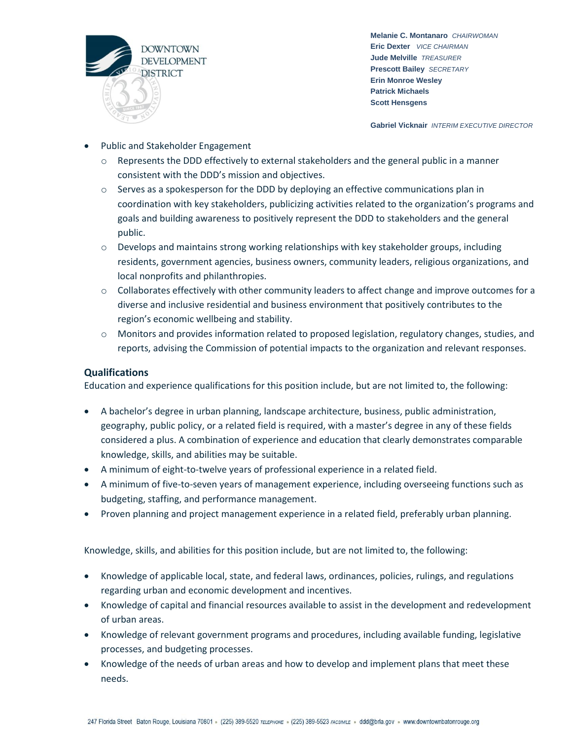

**Gabriel Vicknair** *INTERIM EXECUTIVE DIRECTOR*

- Public and Stakeholder Engagement
	- $\circ$  Represents the DDD effectively to external stakeholders and the general public in a manner consistent with the DDD's mission and objectives.
	- $\circ$  Serves as a spokesperson for the DDD by deploying an effective communications plan in coordination with key stakeholders, publicizing activities related to the organization's programs and goals and building awareness to positively represent the DDD to stakeholders and the general public.
	- $\circ$  Develops and maintains strong working relationships with key stakeholder groups, including residents, government agencies, business owners, community leaders, religious organizations, and local nonprofits and philanthropies.
	- $\circ$  Collaborates effectively with other community leaders to affect change and improve outcomes for a diverse and inclusive residential and business environment that positively contributes to the region's economic wellbeing and stability.
	- o Monitors and provides information related to proposed legislation, regulatory changes, studies, and reports, advising the Commission of potential impacts to the organization and relevant responses.

## **Qualifications**

Education and experience qualifications for this position include, but are not limited to, the following:

- A bachelor's degree in urban planning, landscape architecture, business, public administration, geography, public policy, or a related field is required, with a master's degree in any of these fields considered a plus. A combination of experience and education that clearly demonstrates comparable knowledge, skills, and abilities may be suitable.
- A minimum of eight-to-twelve years of professional experience in a related field.
- A minimum of five-to-seven years of management experience, including overseeing functions such as budgeting, staffing, and performance management.
- Proven planning and project management experience in a related field, preferably urban planning.

Knowledge, skills, and abilities for this position include, but are not limited to, the following:

- Knowledge of applicable local, state, and federal laws, ordinances, policies, rulings, and regulations regarding urban and economic development and incentives.
- Knowledge of capital and financial resources available to assist in the development and redevelopment of urban areas.
- Knowledge of relevant government programs and procedures, including available funding, legislative processes, and budgeting processes.
- Knowledge of the needs of urban areas and how to develop and implement plans that meet these needs.